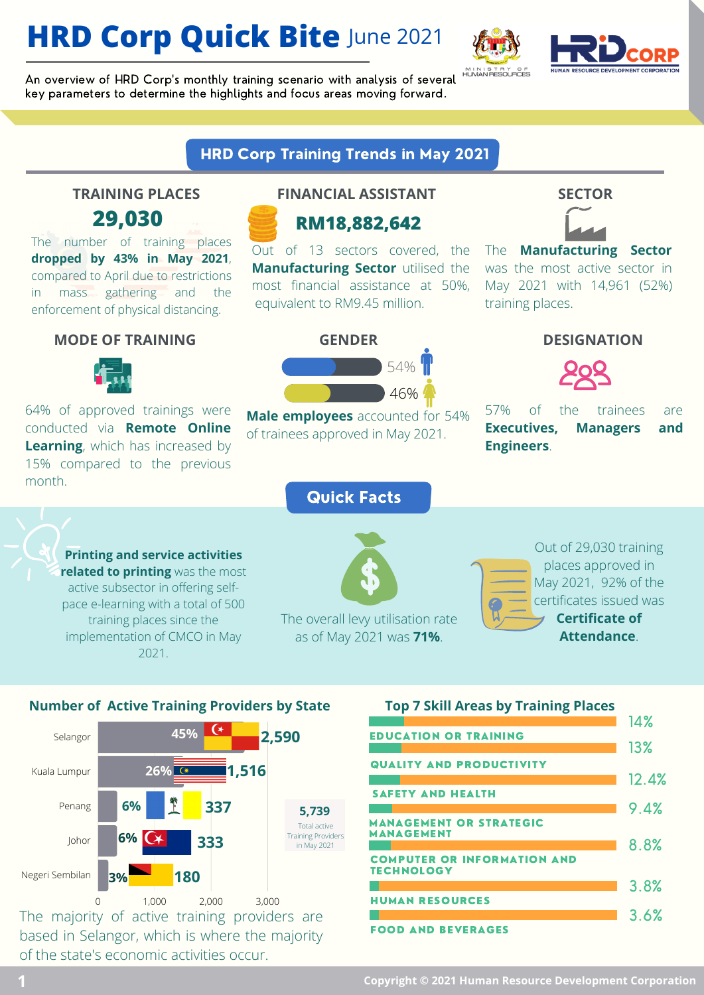## **HRD Corp Quick Bite** June 2021



An overview of HRD Corp's monthly training scenario with analysis of several key parameters to determine the highlights and focus areas moving forward.

### HRD Corp Training Trends in May 2021

The number of training places **dropped by 43% in May 2021**, compared to April due to restrictions in mass gathering and the enforcement of physical distancing.

### **MODE OF TRAINING GENDER DESIGNATION**



64% of approved trainings were conducted via **Remote Online Learning**, which has increased by 15% compared to the previous month.

### **TRAINING PLACES FINANCIAL ASSISTANT SECTOR**



Out of 13 sectors covered, the **Manufacturing Sector** utilised the most financial assistance at 50%, equivalent to RM9.45 million.

54%

46%



The **Manufacturing Sector** was the most active sector in May 2021 with 14,961 (52%) training places.



57% of the trainees are **Executives, Managers and Engineers**.

**Printing and service activities related to printing** was the most active subsector in offering selfpace e-learning with a total of 500 training places since the implementation of CMCO in May 2021.

### Quick Facts

**Male employees** accounted for 54% of trainees approved in May 2021.



The overall levy utilisation rate as of May 2021 was **71%**.



## **Number of Active Training Providers by State**



The majority of active training providers are based in Selangor, which is where the majority of the state's economic activities occur.